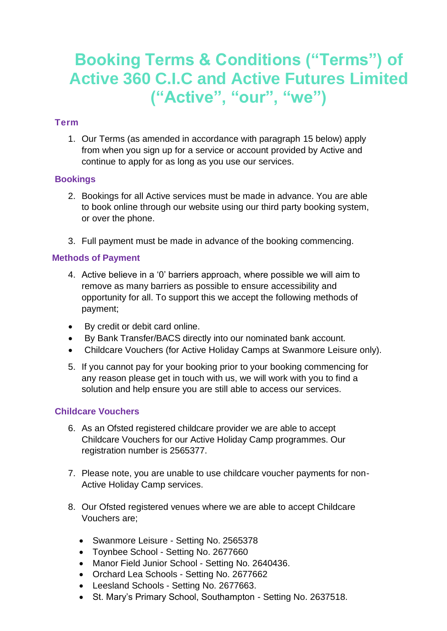# **Booking Terms & Conditions ("Terms") of Active 360 C.I.C and Active Futures Limited ("Active", "our", "we")**

# **Term**

1. Our Terms (as amended in accordance with paragraph 15 below) apply from when you sign up for a service or account provided by Active and continue to apply for as long as you use our services.

# **Bookings**

- 2. Bookings for all Active services must be made in advance. You are able to book online through our website using our third party booking system, or over the phone.
- 3. Full payment must be made in advance of the booking commencing.

# **Methods of Payment**

- 4. Active believe in a '0' barriers approach, where possible we will aim to remove as many barriers as possible to ensure accessibility and opportunity for all. To support this we accept the following methods of payment;
- By credit or debit card online.
- By Bank Transfer/BACS directly into our nominated bank account.
- Childcare Vouchers (for Active Holiday Camps at Swanmore Leisure only).
- 5. If you cannot pay for your booking prior to your booking commencing for any reason please get in touch with us, we will work with you to find a solution and help ensure you are still able to access our services.

# **Childcare Vouchers**

- 6. As an Ofsted registered childcare provider we are able to accept Childcare Vouchers for our Active Holiday Camp programmes. Our registration number is 2565377.
- 7. Please note, you are unable to use childcare voucher payments for non-Active Holiday Camp services.
- 8. Our Ofsted registered venues where we are able to accept Childcare Vouchers are;
	- Swanmore Leisure Setting No. 2565378
	- Toynbee School Setting No. 2677660
	- Manor Field Junior School Setting No. 2640436.
	- Orchard Lea Schools Setting No. 2677662
	- Leesland Schools Setting No. 2677663.
	- St. Mary's Primary School, Southampton Setting No. 2637518.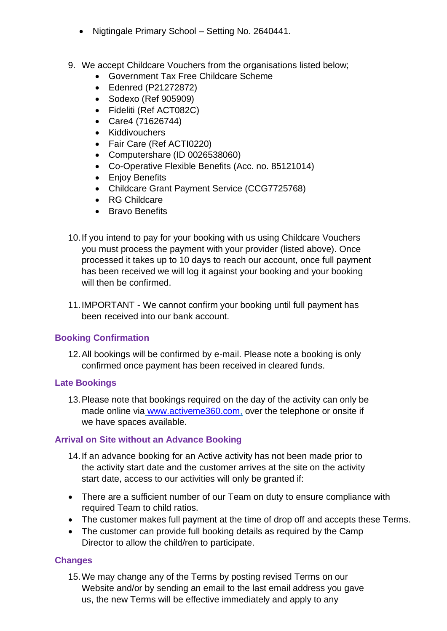- Nigtingale Primary School Setting No. 2640441.
- 9. We accept Childcare Vouchers from the organisations listed below;
	- Government Tax Free Childcare Scheme
	- Edenred (P21272872)
	- Sodexo (Ref 905909)
	- Fideliti (Ref ACT082C)
	- Care4 (71626744)
	- Kiddivouchers
	- Fair Care (Ref ACTI0220)
	- Computershare (ID 0026538060)
	- Co-Operative Flexible Benefits (Acc. no. 85121014)
	- Enjoy Benefits
	- Childcare Grant Payment Service (CCG7725768)
	- RG Childcare
	- Bravo Benefits
- 10.If you intend to pay for your booking with us using Childcare Vouchers you must process the payment with your provider (listed above). Once processed it takes up to 10 days to reach our account, once full payment has been received we will log it against your booking and your booking will then be confirmed.
- 11.IMPORTANT We cannot confirm your booking until full payment has been received into our bank account.

# **Booking Confirmation**

12.All bookings will be confirmed by e-mail. Please note a booking is only confirmed once payment has been received in cleared funds.

# **Late Bookings**

13.Please note that bookings required on the day of the activity can only be made online via [www.activeme360.com,](http://www.activeme360.com/) over the telephone or onsite if we have spaces available.

# **Arrival on Site without an Advance Booking**

- 14.If an advance booking for an Active activity has not been made prior to the activity start date and the customer arrives at the site on the activity start date, access to our activities will only be granted if:
- There are a sufficient number of our Team on duty to ensure compliance with required Team to child ratios.
- The customer makes full payment at the time of drop off and accepts these Terms.
- The customer can provide full booking details as required by the Camp Director to allow the child/ren to participate.

# **Changes**

15.We may change any of the Terms by posting revised Terms on our Website and/or by sending an email to the last email address you gave us, the new Terms will be effective immediately and apply to any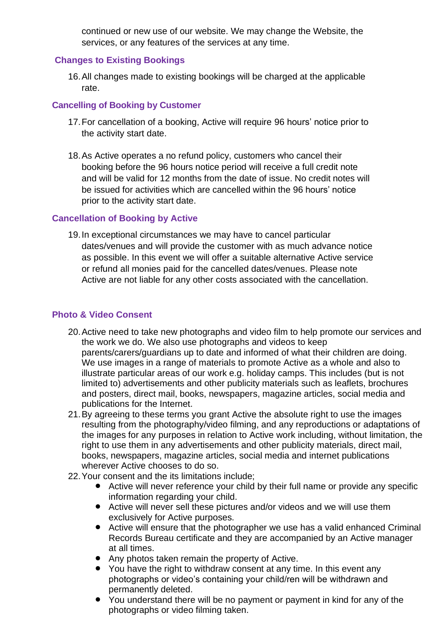continued or new use of our website. We may change the Website, the services, or any features of the services at any time.

# **Changes to Existing Bookings**

16.All changes made to existing bookings will be charged at the applicable rate.

# **Cancelling of Booking by Customer**

- 17.For cancellation of a booking, Active will require 96 hours' notice prior to the activity start date.
- 18.As Active operates a no refund policy, customers who cancel their booking before the 96 hours notice period will receive a full credit note and will be valid for 12 months from the date of issue. No credit notes will be issued for activities which are cancelled within the 96 hours' notice prior to the activity start date.

# **Cancellation of Booking by Active**

19.In exceptional circumstances we may have to cancel particular dates/venues and will provide the customer with as much advance notice as possible. In this event we will offer a suitable alternative Active service or refund all monies paid for the cancelled dates/venues. Please note Active are not liable for any other costs associated with the cancellation.

# **Photo & Video Consent**

- 20.Active need to take new photographs and video film to help promote our services and the work we do. We also use photographs and videos to keep parents/carers/guardians up to date and informed of what their children are doing. We use images in a range of materials to promote Active as a whole and also to illustrate particular areas of our work e.g. holiday camps. This includes (but is not limited to) advertisements and other publicity materials such as leaflets, brochures and posters, direct mail, books, newspapers, magazine articles, social media and publications for the Internet.
- 21.By agreeing to these terms you grant Active the absolute right to use the images resulting from the photography/video filming, and any reproductions or adaptations of the images for any purposes in relation to Active work including, without limitation, the right to use them in any advertisements and other publicity materials, direct mail, books, newspapers, magazine articles, social media and internet publications wherever Active chooses to do so.
- 22.Your consent and the its limitations include;
	- Active will never reference your child by their full name or provide any specific information regarding your child.
	- Active will never sell these pictures and/or videos and we will use them exclusively for Active purposes.
	- Active will ensure that the photographer we use has a valid enhanced Criminal Records Bureau certificate and they are accompanied by an Active manager at all times.
	- Any photos taken remain the property of Active.
	- You have the right to withdraw consent at any time. In this event any photographs or video's containing your child/ren will be withdrawn and permanently deleted.
	- You understand there will be no payment or payment in kind for any of the photographs or video filming taken.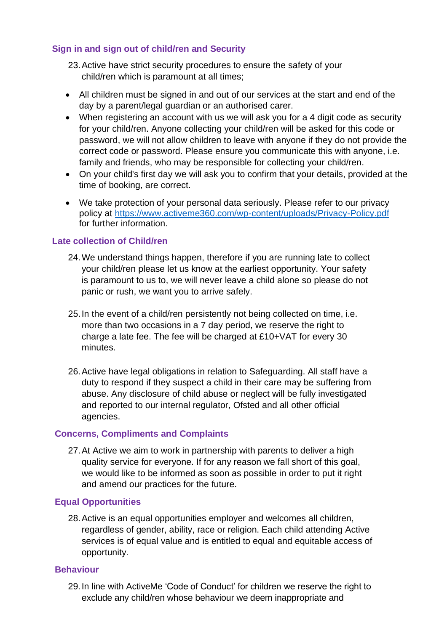# **Sign in and sign out of child/ren and Security**

23.Active have strict security procedures to ensure the safety of your child/ren which is paramount at all times;

- All children must be signed in and out of our services at the start and end of the day by a parent/legal guardian or an authorised carer.
- When registering an account with us we will ask you for a 4 digit code as security for your child/ren. Anyone collecting your child/ren will be asked for this code or password, we will not allow children to leave with anyone if they do not provide the correct code or password. Please ensure you communicate this with anyone, i.e. family and friends, who may be responsible for collecting your child/ren.
- On your child's first day we will ask you to confirm that your details, provided at the time of booking, are correct.
- We take protection of your personal data seriously. Please refer to our privacy policy at<https://www.activeme360.com/wp-content/uploads/Privacy-Policy.pdf> for further information.

# **Late collection of Child/ren**

- 24.We understand things happen, therefore if you are running late to collect your child/ren please let us know at the earliest opportunity. Your safety is paramount to us to, we will never leave a child alone so please do not panic or rush, we want you to arrive safely.
- 25.In the event of a child/ren persistently not being collected on time, i.e. more than two occasions in a 7 day period, we reserve the right to charge a late fee. The fee will be charged at £10+VAT for every 30 minutes.
- 26.Active have legal obligations in relation to Safeguarding. All staff have a duty to respond if they suspect a child in their care may be suffering from abuse. Any disclosure of child abuse or neglect will be fully investigated and reported to our internal regulator, Ofsted and all other official agencies.

#### **Concerns, Compliments and Complaints**

27.At Active we aim to work in partnership with parents to deliver a high quality service for everyone. If for any reason we fall short of this goal, we would like to be informed as soon as possible in order to put it right and amend our practices for the future.

#### **Equal Opportunities**

28.Active is an equal opportunities employer and welcomes all children, regardless of gender, ability, race or religion. Each child attending Active services is of equal value and is entitled to equal and equitable access of opportunity.

#### **Behaviour**

29.In line with ActiveMe 'Code of Conduct' for children we reserve the right to exclude any child/ren whose behaviour we deem inappropriate and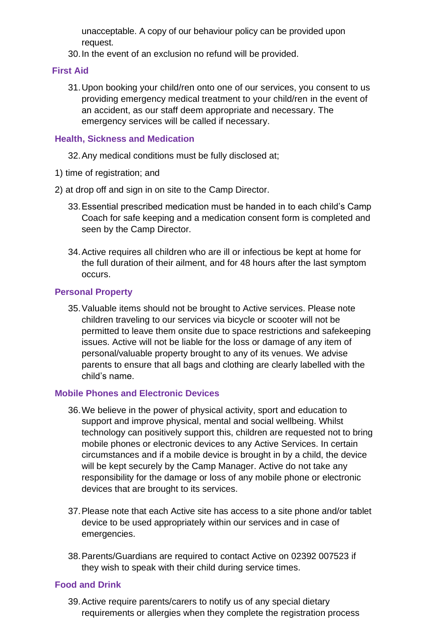unacceptable. A copy of our behaviour policy can be provided upon request.

30.In the event of an exclusion no refund will be provided.

# **First Aid**

31.Upon booking your child/ren onto one of our services, you consent to us providing emergency medical treatment to your child/ren in the event of an accident, as our staff deem appropriate and necessary. The emergency services will be called if necessary.

#### **Health, Sickness and Medication**

32.Any medical conditions must be fully disclosed at;

- 1) time of registration; and
- 2) at drop off and sign in on site to the Camp Director.
	- 33.Essential prescribed medication must be handed in to each child's Camp Coach for safe keeping and a medication consent form is completed and seen by the Camp Director.
	- 34.Active requires all children who are ill or infectious be kept at home for the full duration of their ailment, and for 48 hours after the last symptom occurs.

# **Personal Property**

35.Valuable items should not be brought to Active services. Please note children traveling to our services via bicycle or scooter will not be permitted to leave them onsite due to space restrictions and safekeeping issues. Active will not be liable for the loss or damage of any item of personal/valuable property brought to any of its venues. We advise parents to ensure that all bags and clothing are clearly labelled with the child's name.

#### **Mobile Phones and Electronic Devices**

- 36.We believe in the power of physical activity, sport and education to support and improve physical, mental and social wellbeing. Whilst technology can positively support this, children are requested not to bring mobile phones or electronic devices to any Active Services. In certain circumstances and if a mobile device is brought in by a child, the device will be kept securely by the Camp Manager. Active do not take any responsibility for the damage or loss of any mobile phone or electronic devices that are brought to its services.
- 37.Please note that each Active site has access to a site phone and/or tablet device to be used appropriately within our services and in case of emergencies.
- 38.Parents/Guardians are required to contact Active on 02392 007523 if they wish to speak with their child during service times.

#### **Food and Drink**

39.Active require parents/carers to notify us of any special dietary requirements or allergies when they complete the registration process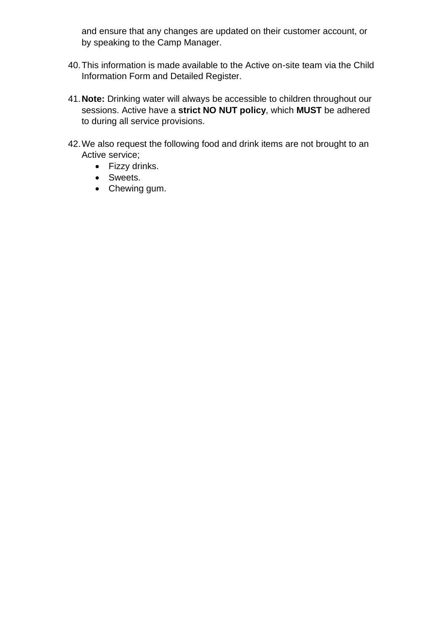and ensure that any changes are updated on their customer account, or by speaking to the Camp Manager.

- 40.This information is made available to the Active on-site team via the Child Information Form and Detailed Register.
- 41.**Note:** Drinking water will always be accessible to children throughout our sessions. Active have a **strict NO NUT policy**, which **MUST** be adhered to during all service provisions.
- 42.We also request the following food and drink items are not brought to an Active service;
	- Fizzy drinks.
	- Sweets.
	- Chewing gum.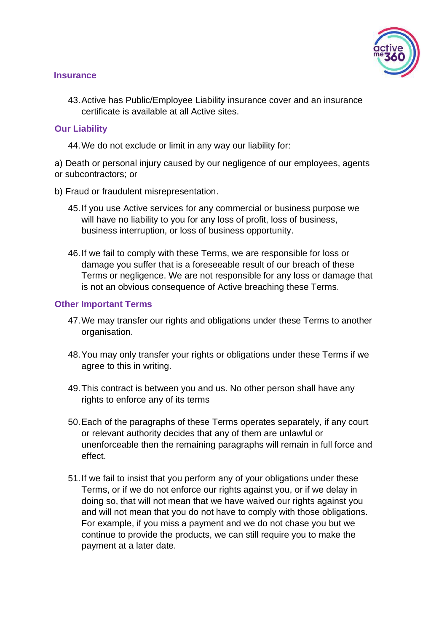

#### **Insurance**

43.Active has Public/Employee Liability insurance cover and an insurance certificate is available at all Active sites.

#### **Our Liability**

44.We do not exclude or limit in any way our liability for:

a) Death or personal injury caused by our negligence of our employees, agents or subcontractors; or

- b) Fraud or fraudulent misrepresentation.
	- 45.If you use Active services for any commercial or business purpose we will have no liability to you for any loss of profit, loss of business, business interruption, or loss of business opportunity.
	- 46.If we fail to comply with these Terms, we are responsible for loss or damage you suffer that is a foreseeable result of our breach of these Terms or negligence. We are not responsible for any loss or damage that is not an obvious consequence of Active breaching these Terms.

#### **Other Important Terms**

- 47.We may transfer our rights and obligations under these Terms to another organisation.
- 48.You may only transfer your rights or obligations under these Terms if we agree to this in writing.
- 49.This contract is between you and us. No other person shall have any rights to enforce any of its terms
- 50.Each of the paragraphs of these Terms operates separately, if any court or relevant authority decides that any of them are unlawful or unenforceable then the remaining paragraphs will remain in full force and effect.
- 51.If we fail to insist that you perform any of your obligations under these Terms, or if we do not enforce our rights against you, or if we delay in doing so, that will not mean that we have waived our rights against you and will not mean that you do not have to comply with those obligations. For example, if you miss a payment and we do not chase you but we continue to provide the products, we can still require you to make the payment at a later date.